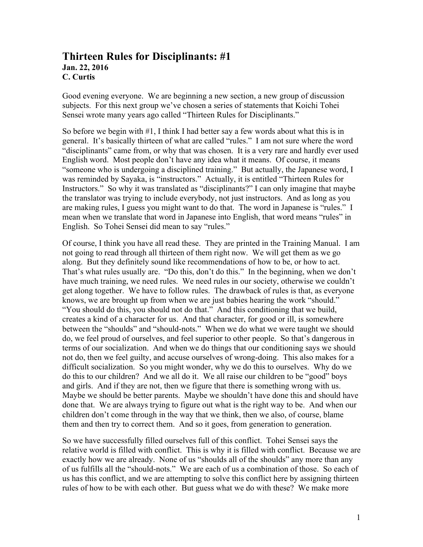## **Thirteen Rules for Disciplinants: #1 Jan. 22, 2016 C. Curtis**

Good evening everyone. We are beginning a new section, a new group of discussion subjects. For this next group we've chosen a series of statements that Koichi Tohei Sensei wrote many years ago called "Thirteen Rules for Disciplinants."

So before we begin with  $#1$ , I think I had better say a few words about what this is in general. It's basically thirteen of what are called "rules." I am not sure where the word "disciplinants" came from, or why that was chosen. It is a very rare and hardly ever used English word. Most people don't have any idea what it means. Of course, it means "someone who is undergoing a disciplined training." But actually, the Japanese word, I was reminded by Sayaka, is "instructors." Actually, it is entitled "Thirteen Rules for Instructors." So why it was translated as "disciplinants?" I can only imagine that maybe the translator was trying to include everybody, not just instructors. And as long as you are making rules, I guess you might want to do that. The word in Japanese is "rules." I mean when we translate that word in Japanese into English, that word means "rules" in English. So Tohei Sensei did mean to say "rules."

Of course, I think you have all read these. They are printed in the Training Manual. I am not going to read through all thirteen of them right now. We will get them as we go along. But they definitely sound like recommendations of how to be, or how to act. That's what rules usually are. "Do this, don't do this." In the beginning, when we don't have much training, we need rules. We need rules in our society, otherwise we couldn't get along together. We have to follow rules. The drawback of rules is that, as everyone knows, we are brought up from when we are just babies hearing the work "should." "You should do this, you should not do that." And this conditioning that we build, creates a kind of a character for us. And that character, for good or ill, is somewhere between the "shoulds" and "should-nots." When we do what we were taught we should do, we feel proud of ourselves, and feel superior to other people. So that's dangerous in terms of our socialization. And when we do things that our conditioning says we should not do, then we feel guilty, and accuse ourselves of wrong-doing. This also makes for a difficult socialization. So you might wonder, why we do this to ourselves. Why do we do this to our children? And we all do it. We all raise our children to be "good" boys and girls. And if they are not, then we figure that there is something wrong with us. Maybe we should be better parents. Maybe we shouldn't have done this and should have done that. We are always trying to figure out what is the right way to be. And when our children don't come through in the way that we think, then we also, of course, blame them and then try to correct them. And so it goes, from generation to generation.

So we have successfully filled ourselves full of this conflict. Tohei Sensei says the relative world is filled with conflict. This is why it is filled with conflict. Because we are exactly how we are already. None of us "shoulds all of the shoulds" any more than any of us fulfills all the "should-nots." We are each of us a combination of those. So each of us has this conflict, and we are attempting to solve this conflict here by assigning thirteen rules of how to be with each other. But guess what we do with these? We make more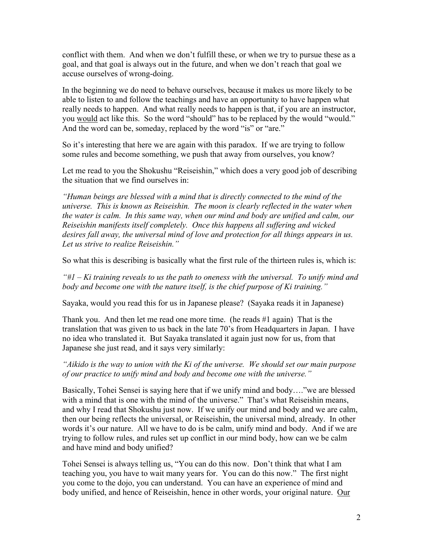conflict with them. And when we don't fulfill these, or when we try to pursue these as a goal, and that goal is always out in the future, and when we don't reach that goal we accuse ourselves of wrong-doing.

In the beginning we do need to behave ourselves, because it makes us more likely to be able to listen to and follow the teachings and have an opportunity to have happen what really needs to happen. And what really needs to happen is that, if you are an instructor, you would act like this. So the word "should" has to be replaced by the would "would." And the word can be, someday, replaced by the word "is" or "are."

So it's interesting that here we are again with this paradox. If we are trying to follow some rules and become something, we push that away from ourselves, you know?

Let me read to you the Shokushu "Reiseishin," which does a very good job of describing the situation that we find ourselves in:

*"Human beings are blessed with a mind that is directly connected to the mind of the universe. This is known as Reiseishin. The moon is clearly reflected in the water when the water is calm. In this same way, when our mind and body are unified and calm, our Reiseishin manifests itself completely. Once this happens all suffering and wicked desires fall away, the universal mind of love and protection for all things appears in us. Let us strive to realize Reiseishin."*

So what this is describing is basically what the first rule of the thirteen rules is, which is:

*"#1 – Ki training reveals to us the path to oneness with the universal. To unify mind and body and become one with the nature itself, is the chief purpose of Ki training."*

Sayaka, would you read this for us in Japanese please? (Sayaka reads it in Japanese)

Thank you. And then let me read one more time. (he reads #1 again) That is the translation that was given to us back in the late 70's from Headquarters in Japan. I have no idea who translated it. But Sayaka translated it again just now for us, from that Japanese she just read, and it says very similarly:

*"Aikido is the way to union with the Ki of the universe. We should set our main purpose of our practice to unify mind and body and become one with the universe."*

Basically, Tohei Sensei is saying here that if we unify mind and body…."we are blessed with a mind that is one with the mind of the universe." That's what Reiseishin means, and why I read that Shokushu just now. If we unify our mind and body and we are calm, then our being reflects the universal, or Reiseishin, the universal mind, already. In other words it's our nature. All we have to do is be calm, unify mind and body. And if we are trying to follow rules, and rules set up conflict in our mind body, how can we be calm and have mind and body unified?

Tohei Sensei is always telling us, "You can do this now. Don't think that what I am teaching you, you have to wait many years for. You can do this now." The first night you come to the dojo, you can understand. You can have an experience of mind and body unified, and hence of Reiseishin, hence in other words, your original nature. Our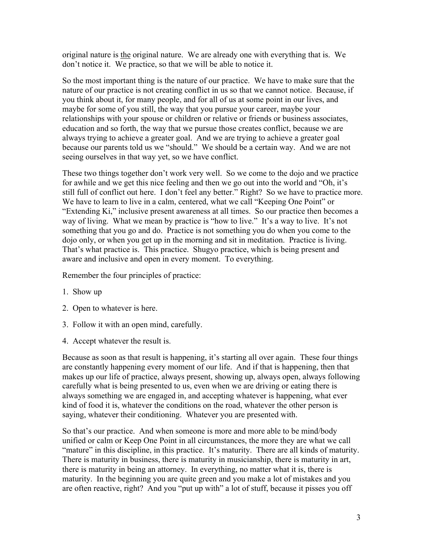original nature is the original nature. We are already one with everything that is. We don't notice it. We practice, so that we will be able to notice it.

So the most important thing is the nature of our practice. We have to make sure that the nature of our practice is not creating conflict in us so that we cannot notice. Because, if you think about it, for many people, and for all of us at some point in our lives, and maybe for some of you still, the way that you pursue your career, maybe your relationships with your spouse or children or relative or friends or business associates, education and so forth, the way that we pursue those creates conflict, because we are always trying to achieve a greater goal. And we are trying to achieve a greater goal because our parents told us we "should." We should be a certain way. And we are not seeing ourselves in that way yet, so we have conflict.

These two things together don't work very well. So we come to the dojo and we practice for awhile and we get this nice feeling and then we go out into the world and "Oh, it's still full of conflict out here. I don't feel any better." Right? So we have to practice more. We have to learn to live in a calm, centered, what we call "Keeping One Point" or "Extending Ki," inclusive present awareness at all times. So our practice then becomes a way of living. What we mean by practice is "how to live." It's a way to live. It's not something that you go and do. Practice is not something you do when you come to the dojo only, or when you get up in the morning and sit in meditation. Practice is living. That's what practice is. This practice. Shugyo practice, which is being present and aware and inclusive and open in every moment. To everything.

Remember the four principles of practice:

- 1. Show up
- 2. Open to whatever is here.
- 3. Follow it with an open mind, carefully.
- 4. Accept whatever the result is.

Because as soon as that result is happening, it's starting all over again. These four things are constantly happening every moment of our life. And if that is happening, then that makes up our life of practice, always present, showing up, always open, always following carefully what is being presented to us, even when we are driving or eating there is always something we are engaged in, and accepting whatever is happening, what ever kind of food it is, whatever the conditions on the road, whatever the other person is saying, whatever their conditioning. Whatever you are presented with.

So that's our practice. And when someone is more and more able to be mind/body unified or calm or Keep One Point in all circumstances, the more they are what we call "mature" in this discipline, in this practice. It's maturity. There are all kinds of maturity. There is maturity in business, there is maturity in musicianship, there is maturity in art, there is maturity in being an attorney. In everything, no matter what it is, there is maturity. In the beginning you are quite green and you make a lot of mistakes and you are often reactive, right? And you "put up with" a lot of stuff, because it pisses you off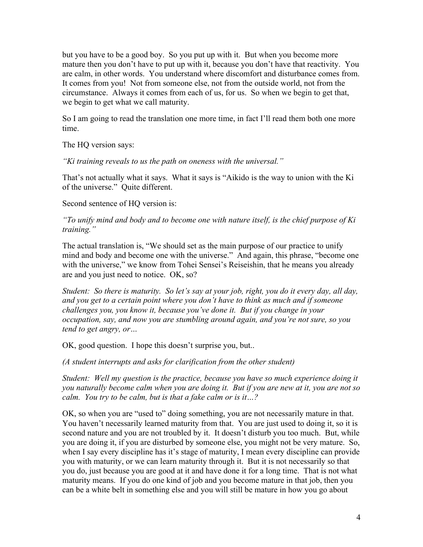but you have to be a good boy. So you put up with it. But when you become more mature then you don't have to put up with it, because you don't have that reactivity. You are calm, in other words. You understand where discomfort and disturbance comes from. It comes from you! Not from someone else, not from the outside world, not from the circumstance. Always it comes from each of us, for us. So when we begin to get that, we begin to get what we call maturity.

So I am going to read the translation one more time, in fact I'll read them both one more time.

The HQ version says:

*"Ki training reveals to us the path on oneness with the universal."*

That's not actually what it says. What it says is "Aikido is the way to union with the Ki of the universe." Quite different.

Second sentence of HQ version is:

*"To unify mind and body and to become one with nature itself, is the chief purpose of Ki training."*

The actual translation is, "We should set as the main purpose of our practice to unify mind and body and become one with the universe." And again, this phrase, "become one with the universe," we know from Tohei Sensei's Reiseishin, that he means you already are and you just need to notice. OK, so?

*Student: So there is maturity. So let's say at your job, right, you do it every day, all day, and you get to a certain point where you don't have to think as much and if someone challenges you, you know it, because you've done it. But if you change in your occupation, say, and now you are stumbling around again, and you're not sure, so you tend to get angry, or…*

OK, good question. I hope this doesn't surprise you, but..

*(A student interrupts and asks for clarification from the other student)*

*Student: Well my question is the practice, because you have so much experience doing it you naturally become calm when you are doing it. But if you are new at it, you are not so calm. You try to be calm, but is that a fake calm or is it…?*

OK, so when you are "used to" doing something, you are not necessarily mature in that. You haven't necessarily learned maturity from that. You are just used to doing it, so it is second nature and you are not troubled by it. It doesn't disturb you too much. But, while you are doing it, if you are disturbed by someone else, you might not be very mature. So, when I say every discipline has it's stage of maturity, I mean every discipline can provide you with maturity, or we can learn maturity through it. But it is not necessarily so that you do, just because you are good at it and have done it for a long time. That is not what maturity means. If you do one kind of job and you become mature in that job, then you can be a white belt in something else and you will still be mature in how you go about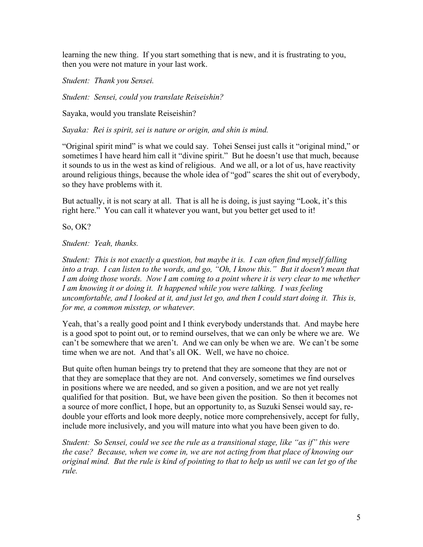learning the new thing. If you start something that is new, and it is frustrating to you, then you were not mature in your last work.

*Student: Thank you Sensei.*

*Student: Sensei, could you translate Reiseishin?*

Sayaka, would you translate Reiseishin?

*Sayaka: Rei is spirit, sei is nature or origin, and shin is mind.*

"Original spirit mind" is what we could say. Tohei Sensei just calls it "original mind," or sometimes I have heard him call it "divine spirit." But he doesn't use that much, because it sounds to us in the west as kind of religious. And we all, or a lot of us, have reactivity around religious things, because the whole idea of "god" scares the shit out of everybody, so they have problems with it.

But actually, it is not scary at all. That is all he is doing, is just saying "Look, it's this right here." You can call it whatever you want, but you better get used to it!

So, OK?

*Student: Yeah, thanks.*

*Student: This is not exactly a question, but maybe it is. I can often find myself falling into a trap. I can listen to the words, and go, "Oh, I know this." But it doesn't mean that I am doing those words. Now I am coming to a point where it is very clear to me whether* I am knowing it or doing it. It happened while you were talking. I was feeling *uncomfortable, and I looked at it, and just let go, and then I could start doing it. This is, for me, a common misstep, or whatever.*

Yeah, that's a really good point and I think everybody understands that. And maybe here is a good spot to point out, or to remind ourselves, that we can only be where we are. We can't be somewhere that we aren't. And we can only be when we are. We can't be some time when we are not. And that's all OK. Well, we have no choice.

But quite often human beings try to pretend that they are someone that they are not or that they are someplace that they are not. And conversely, sometimes we find ourselves in positions where we are needed, and so given a position, and we are not yet really qualified for that position. But, we have been given the position. So then it becomes not a source of more conflict, I hope, but an opportunity to, as Suzuki Sensei would say, redouble your efforts and look more deeply, notice more comprehensively, accept for fully, include more inclusively, and you will mature into what you have been given to do.

*Student: So Sensei, could we see the rule as a transitional stage, like "as if" this were the case? Because, when we come in, we are not acting from that place of knowing our original mind. But the rule is kind of pointing to that to help us until we can let go of the rule.*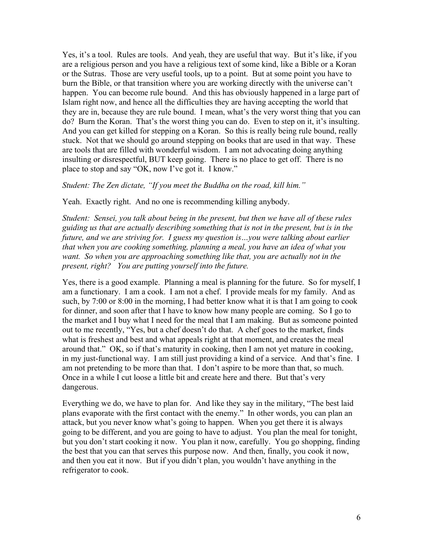Yes, it's a tool. Rules are tools. And yeah, they are useful that way. But it's like, if you are a religious person and you have a religious text of some kind, like a Bible or a Koran or the Sutras. Those are very useful tools, up to a point. But at some point you have to burn the Bible, or that transition where you are working directly with the universe can't happen. You can become rule bound. And this has obviously happened in a large part of Islam right now, and hence all the difficulties they are having accepting the world that they are in, because they are rule bound. I mean, what's the very worst thing that you can do? Burn the Koran. That's the worst thing you can do. Even to step on it, it's insulting. And you can get killed for stepping on a Koran. So this is really being rule bound, really stuck. Not that we should go around stepping on books that are used in that way. These are tools that are filled with wonderful wisdom. I am not advocating doing anything insulting or disrespectful, BUT keep going. There is no place to get off. There is no place to stop and say "OK, now I've got it. I know."

*Student: The Zen dictate, "If you meet the Buddha on the road, kill him."*

Yeah. Exactly right. And no one is recommending killing anybody.

*Student: Sensei, you talk about being in the present, but then we have all of these rules guiding us that are actually describing something that is not in the present, but is in the future, and we are striving for. I guess my question is…you were talking about earlier that when you are cooking something, planning a meal, you have an idea of what you want. So when you are approaching something like that, you are actually not in the present, right? You are putting yourself into the future.*

Yes, there is a good example. Planning a meal is planning for the future. So for myself, I am a functionary. I am a cook. I am not a chef. I provide meals for my family. And as such, by 7:00 or 8:00 in the morning, I had better know what it is that I am going to cook for dinner, and soon after that I have to know how many people are coming. So I go to the market and I buy what I need for the meal that I am making. But as someone pointed out to me recently, "Yes, but a chef doesn't do that. A chef goes to the market, finds what is freshest and best and what appeals right at that moment, and creates the meal around that." OK, so if that's maturity in cooking, then I am not yet mature in cooking, in my just-functional way. I am still just providing a kind of a service. And that's fine. I am not pretending to be more than that. I don't aspire to be more than that, so much. Once in a while I cut loose a little bit and create here and there. But that's very dangerous.

Everything we do, we have to plan for. And like they say in the military, "The best laid plans evaporate with the first contact with the enemy." In other words, you can plan an attack, but you never know what's going to happen. When you get there it is always going to be different, and you are going to have to adjust. You plan the meal for tonight, but you don't start cooking it now. You plan it now, carefully. You go shopping, finding the best that you can that serves this purpose now. And then, finally, you cook it now, and then you eat it now. But if you didn't plan, you wouldn't have anything in the refrigerator to cook.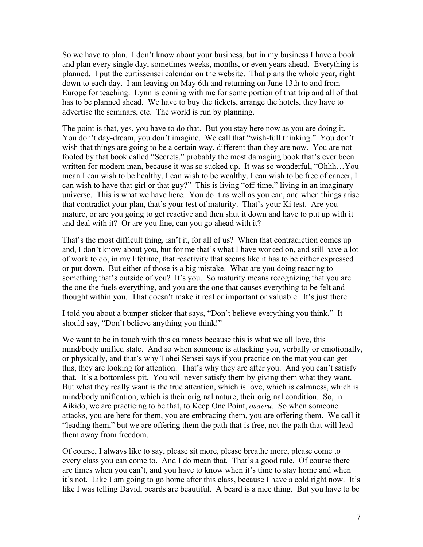So we have to plan. I don't know about your business, but in my business I have a book and plan every single day, sometimes weeks, months, or even years ahead. Everything is planned. I put the curtissensei calendar on the website. That plans the whole year, right down to each day. I am leaving on May 6th and returning on June 13th to and from Europe for teaching. Lynn is coming with me for some portion of that trip and all of that has to be planned ahead. We have to buy the tickets, arrange the hotels, they have to advertise the seminars, etc. The world is run by planning.

The point is that, yes, you have to do that. But you stay here now as you are doing it. You don't day-dream, you don't imagine. We call that "wish-full thinking." You don't wish that things are going to be a certain way, different than they are now. You are not fooled by that book called "Secrets," probably the most damaging book that's ever been written for modern man, because it was so sucked up. It was so wonderful, "Ohhh…You mean I can wish to be healthy, I can wish to be wealthy, I can wish to be free of cancer, I can wish to have that girl or that guy?" This is living "off-time," living in an imaginary universe. This is what we have here. You do it as well as you can, and when things arise that contradict your plan, that's your test of maturity. That's your Ki test. Are you mature, or are you going to get reactive and then shut it down and have to put up with it and deal with it? Or are you fine, can you go ahead with it?

That's the most difficult thing, isn't it, for all of us? When that contradiction comes up and, I don't know about you, but for me that's what I have worked on, and still have a lot of work to do, in my lifetime, that reactivity that seems like it has to be either expressed or put down. But either of those is a big mistake. What are you doing reacting to something that's outside of you? It's you. So maturity means recognizing that you are the one the fuels everything, and you are the one that causes everything to be felt and thought within you. That doesn't make it real or important or valuable. It's just there.

I told you about a bumper sticker that says, "Don't believe everything you think." It should say, "Don't believe anything you think!"

We want to be in touch with this calmness because this is what we all love, this mind/body unified state. And so when someone is attacking you, verbally or emotionally, or physically, and that's why Tohei Sensei says if you practice on the mat you can get this, they are looking for attention. That's why they are after you. And you can't satisfy that. It's a bottomless pit. You will never satisfy them by giving them what they want. But what they really want is the true attention, which is love, which is calmness, which is mind/body unification, which is their original nature, their original condition. So, in Aikido, we are practicing to be that, to Keep One Point, *osaeru*. So when someone attacks, you are here for them, you are embracing them, you are offering them. We call it "leading them," but we are offering them the path that is free, not the path that will lead them away from freedom.

Of course, I always like to say, please sit more, please breathe more, please come to every class you can come to. And I do mean that. That's a good rule. Of course there are times when you can't, and you have to know when it's time to stay home and when it's not. Like I am going to go home after this class, because I have a cold right now. It's like I was telling David, beards are beautiful. A beard is a nice thing. But you have to be